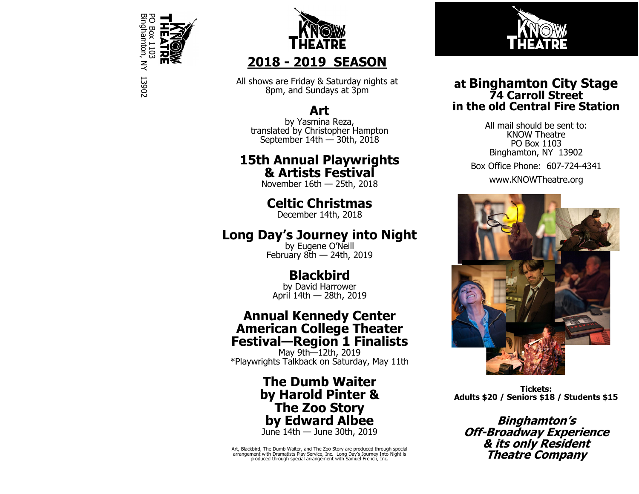



## **2018 - 2019 SEASON**

All shows are Friday & Saturday nights at 8pm, and Sundays at 3pm

# **Art**

by Yasmina Reza, translated by Christopher Hampton September 14th — 30th, 2018

# **15th Annual Playwrights**

**& Artists Festival**

November 16th — 25th, 2018

## **Celtic Christmas**

December 14th, 2018

## **Long Day 's Journey into Night**

by Eugene O 'Neill February 8th — 24th, 2019

# **Blackbird**

by David Harrower April 14th — 28th, 2019

### **Annual Kennedy Center American College Theater Festival —Region 1 Finalists**

May 9th —12th, 2019 \*Playwrights Talkback on Saturday, May 11th

### **The Dumb Waiter by Harold Pinter & The Zoo Story by Edward Albee** June 14th — June 30th, 2019

Art, Blackbird, The Dumb Waiter, and The Zoo Story are produced through special arrangement with Dramatists Play Service, Inc. Long Day 's Journey Into Night is produced through special arrangement with Samuel French, Inc.



**at Binghamton City Stage 74 Carroll Street in the old Central Fire Station**

> All mail should be sent to: KNOW Theatre PO Box 1103 Binghamton, NY 13902

Box Office Phone: 607 -724 -4341

www.KNOWTheatre.org



**Tickets: Adults \$20 / Seniors \$18 / Students \$15**

**Binghamton 's Off-Broadway Experience & its only Resident Theatre Company**